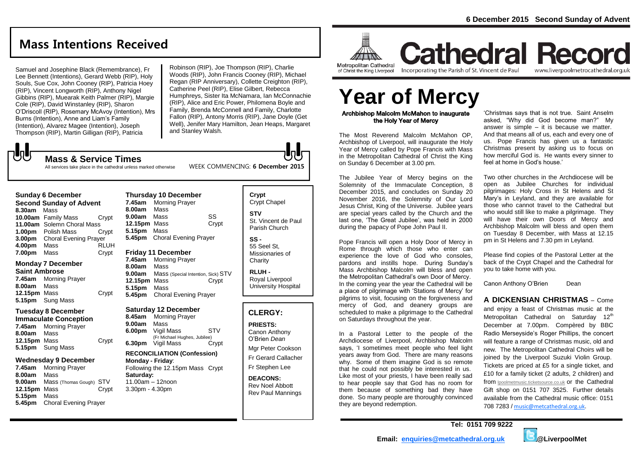# **Mass Intentions Received**

Samuel and Josephine Black (Remembrance), Fr Lee Bennett (Intentions), Gerard Webb (RIP), Holy Souls, Sue Cox, John Cooney (RIP), Patricia Hoey (RIP), Vincent Longworth (RIP), Anthony Nigel Gibbins (RIP), Muearak Keith Palmer (RIP), Margie Cole (RIP), David Winstanley (RIP), Sharon O'Driscoll (RIP), Rosemary McAvoy (Intention), Mrs Burns (Intention), Anne and Liam's Family (Intention), Alvarez Magee (Intention), Joseph Thompson (RIP), Martin Gilligan (RIP), Patricia

Robinson (RIP), Joe Thompson (RIP), Charlie Woods (RIP), John Francis Cooney (RIP), Michael Regan (RIP Anniversary), Collette Creighton (RIP), Catherine Peel (RIP), Elise Gilbert, Rebecca Humphreys, Sister Ita McNamara, Ian McConnachie (RIP), Alice and Eric Power, Philomena Boyle and Family, Brenda McConnell and Family, Charlotte Fallon (RIP), Antony Morris (RIP), Jane Doyle (Get Well), Jenifer Mary Hamilton, Jean Heaps, Margaret

**Mass & Service Times** All services take place in the cathedral unless marked otherwise

# **Sunday 6 December**

 $\sqrt{5}$ 

**Second Sunday of Advent 8.30am** Mass **10.00am** Family Mass Crypt **11.00am** Solemn Choral Mass **1.00pm** Polish Mass Crypt **3.00pm** Choral Evening Prayer **4.00pm** Mass RLUH **7.00pm** Mass Crypt

### **Monday 7 December**

**Saint Ambrose 7.45am** Morning Prayer **8.00am** Mass **12.15pm** Mass Crypt **5.15pm** Sung Mass

### **Tuesday 8 December**

**Immaculate Conception 7.45am** Morning Prayer **8.00am** Mass **12.15pm** Mass Crypt **5.15pm** Sung Mass

#### **Wednesday 9 December**

**7.45am** Morning Prayer **8.00am** Mass **9.00am** Mass (Thomas Gough) STV **12.15pm** Mass Crypt **5.15pm** Mass **5.45pm** Choral Evening Prayer

### **Thursday 10 December 7.45am** Morning Prayer **8.00am** Mass **9.00am** Mass SS 12.15pm Mass Crypt **5.15pm** Mass **5.45pm** Choral Evening Prayer

**Friday 11 December** 

**7.45am** Morning Prayer **8.00am** Mass **9.00am** Mass (Special Intention, Sick) STV **12.15pm** Mass Crypt **5.15pm** Mass **5.45pm** Choral Evening Prayer

### **Saturday 12 December**

**8.45am** Morning Prayer **9.00am** Mass **6.00pm** Vigil Mass STV (Fr Michael Hughes, Jubilee) **6.30pm** Vigil Mass Crypt

# **RECONCILIATION (Confession)**

**Monday - Friday**: Following the 12.15pm Mass Crypt **Saturday:** 11.00am – 12noon 3.30pm - 4.30pm

## **Crypt**  Crypt Chapel **STV** St. Vincent de Paul Parish Church **SS -**

55 Seel St, Missionaries of **Charity** 

**RLUH -** Royal Liverpool University Hospital

# **CLERGY:**

**PRIESTS:** Canon Anthony O'Brien *Dean* Mgr Peter Cookson Fr Gerard Callacher Fr Stephen Lee

**DEACONS:** Rev Noel Abbott Rev Paul Mannings



**Metropolitan Cathedral** of Christ the King Liverpool

Archbishop Malcolm McMahon to inaugurate the Holy Year of Mercy The Most Reverend Malcolm McMahon OP,

Year of Mercy called by Pope Francis with Mass

The Jubilee Year of Mercy begins on the Solemnity of the Immaculate Conception, 8 December 2015, and concludes on Sunday 20 November 2016, the Solemnity of Our Lord Jesus Christ, King of the Universe. Jubilee years are special years called by the Church and the last one, 'The Great Jubilee', was held in 2000 during the papacy of Pope John Paul II.

Pope Francis will open a Holy Door of Mercy in Rome through which those who enter can experience the love of God who consoles, pardons and instills hope. During Sunday's Mass Archbishop Malcolm will bless and open the Metropolitan Cathedral's own Door of Mercy. In the coming year the year the Cathedral will be a place of pilgrimage with 'Stations of Mercy' for pilgrims to visit, focusing on the forgiveness and mercy of God, and deanery groups are scheduled to make a pilgrimage to the Cathedral

In a Pastoral Letter to the people of the Archdiocese of Liverpool, Archbishop Malcolm says, 'I sometimes meet people who feel light years away from God. There are many reasons why. Some of them imagine God is so remote that he could not possibly be interested in us. Like most of your priests, I have been really sad to hear people say that God has no room for them because of something bad they have done. So many people are thoroughly convinced

on Sunday 6 December at 3.00 pm.

on Saturdays throughout the year.

they are beyond redemption.

# **Cathedral Record** www.liverpoolmetrocathedral.org.uk

Incorporating the Parish of St. Vincent de Paul

Archbishop of Liverpool, will inaugurate the Holy in the Metropolitan Cathedral of Christ the King 'Christmas says that is not true. Saint Anselm asked, "Why did God become man?" My answer is simple – it is because we matter. And that means all of us, each and every one of us. Pope Francis has given us a fantastic Christmas present by asking us to focus on how merciful God is. He wants every sinner to **Year of Mercy**

feel at home in God's house.'

Two other churches in the Archdiocese will be open as Jubilee Churches for individual pilgrimages: Holy Cross in St Helens and St Mary's in Leyland, and they are available for those who cannot travel to the Cathedral but who would still like to make a pilgrimage. They will have their own Doors of Mercy and Archbishop Malcolm will bless and open them on Tuesday 8 December, with Mass at 12.15 pm in St Helens and 7.30 pm in Leyland.

Please find copies of the Pastoral Letter at the back of the Crypt Chapel and the Cathedral for you to take home with you.

Canon Anthony O'Brien Dean

# **A DICKENSIAN CHRISTMAS** – Come

and enjoy a feast of Christmas music at the Metropolitan Cathedral on Saturday 12<sup>th</sup> December at 7.00pm. Compèred by BBC Radio Merseyside's Roger Phillips, the concert will feature a range of Christmas music, old and new. The Metropolitan Cathedral Choirs will be joined by the Liverpool Suzuki Violin Group. Tickets are priced at £5 for a single ticket, and £10 for a family ticket (2 adults, 2 children) and from **[lpoolmetmusic.ticketsource.co.uk](http://liverpoolmetrocathedral.us11.list-manage.com/track/click?u=d7e7bd84ecc3706580ec8610c&id=eb9be4e049&e=54c47a83cd)** or the Cathedral Gift shop on 0151 707 3525. Further details available from the Cathedral music office: 0151 708 7283 / [music@metcathedral.org.uk.](mailto:music@metcathedral.org.uk)





and Stanley Walsh.

WEEK COMMENCING: **6 December 2015**